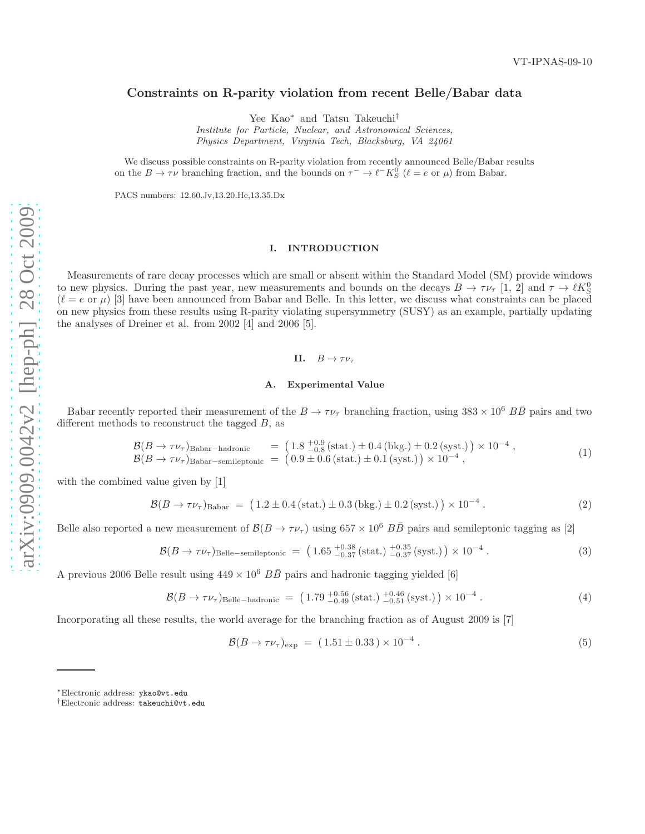# Constraints on R-parity violation from recent Belle/Babar data

Yee Kao<sup>∗</sup> and Tatsu Takeuchi†

Institute for Particle, Nuclear, and Astronomical Sciences, Physics Department, Virginia Tech, Blacksburg, VA 24061

We discuss possible constraints on R-parity violation from recently announced Belle/Babar results on the  $B \to \tau \nu$  branching fraction, and the bounds on  $\tau^- \to \ell^- K^0_S$  ( $\ell = e$  or  $\mu$ ) from Babar.

PACS numbers: 12.60.Jv,13.20.He,13.35.Dx

# I. INTRODUCTION

Measurements of rare decay processes which are small or absent within the Standard Model (SM) provide windows to new physics. During the past year, new measurements and bounds on the decays  $B \to \tau \nu_{\tau}$  [1, 2] and  $\tau \to \ell K_{S}^{0}$  $(\ell = e \text{ or } \mu)$  [3] have been announced from Babar and Belle. In this letter, we discuss what constraints can be placed on new physics from these results using R-parity violating supersymmetry (SUSY) as an example, partially updating the analyses of Dreiner et al. from 2002 [4] and 2006 [5].

## II.  $B \to \tau \nu_{\tau}$

### A. Experimental Value

Babar recently reported their measurement of the  $B \to \tau \nu_{\tau}$  branching fraction, using  $383 \times 10^6$   $B\overline{B}$  pairs and two different methods to reconstruct the tagged  $B$ , as

$$
\mathcal{B}(B \to \tau \nu_{\tau})_{\text{Babar-hadronic}} = (1.8 \, \frac{^{+0.9}_{-0.8}}{^{0.8}} \, (\text{stat.}) \pm 0.4 \, (\text{bkg.}) \pm 0.2 \, (\text{syst.}) \times 10^{-4} \, , \n\mathcal{B}(B \to \tau \nu_{\tau})_{\text{Babar-semileptonic}} = (0.9 \pm 0.6 \, (\text{stat.}) \pm 0.1 \, (\text{syst.}) \times 10^{-4} \, , \tag{1}
$$

with the combined value given by [1]

$$
\mathcal{B}(B \to \tau \nu_{\tau})_{\text{Babar}} = (1.2 \pm 0.4 \, (\text{stat.}) \pm 0.3 \, (\text{bkg.}) \pm 0.2 \, (\text{syst.}) \, \times 10^{-4} \,. \tag{2}
$$

Belle also reported a new measurement of  $\mathcal{B}(B \to \tau \nu_{\tau})$  using  $657 \times 10^6$   $B\overline{B}$  pairs and semileptonic tagging as [2]

$$
\mathcal{B}(B \to \tau \nu_{\tau})_{\text{Belle-semileptonic}} = \left(1.65 \, \frac{^{+0.38}}{^{-0.37}} \left(\text{stat.}\right) \, \frac{^{+0.35}}{^{-0.37}} \left(\text{syst.}\right)\right) \times 10^{-4} \,. \tag{3}
$$

A previous 2006 Belle result using  $449 \times 10^6$   $B\overline{B}$  pairs and hadronic tagging yielded [6]

$$
\mathcal{B}(B \to \tau \nu_{\tau})_{\text{Belle-hadronic}} = (1.79 \, \frac{^{+0.56}}{^{0.49}} \, (\text{stat.}) \, \frac{^{+0.46}}{^{0.51}} \, (\text{syst.}) \, ) \times 10^{-4} \, . \tag{4}
$$

Incorporating all these results, the world average for the branching fraction as of August 2009 is [7]

$$
\mathcal{B}(B \to \tau \nu_{\tau})_{\text{exp}} = (1.51 \pm 0.33) \times 10^{-4} . \tag{5}
$$

<sup>∗</sup>Electronic address: ykao@vt.edu

<sup>†</sup>Electronic address: takeuchi@vt.edu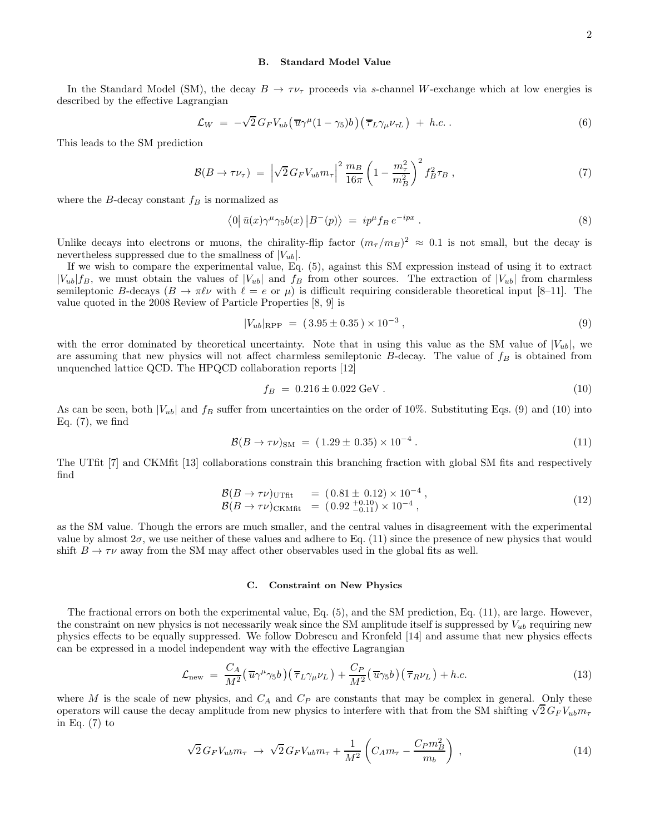#### B. Standard Model Value

In the Standard Model (SM), the decay  $B \to \tau \nu_{\tau}$  proceeds via s-channel W-exchange which at low energies is described by the effective Lagrangian

$$
\mathcal{L}_W = -\sqrt{2} G_F V_{ub} \left( \overline{u} \gamma^{\mu} (1 - \gamma_5) b \right) \left( \overline{\tau}_L \gamma_{\mu} \nu_{\tau L} \right) + h.c. \,. \tag{6}
$$

This leads to the SM prediction

$$
\mathcal{B}(B \to \tau \nu_{\tau}) = \left| \sqrt{2} \, G_F V_{ub} m_{\tau} \right|^2 \frac{m_B}{16\pi} \left( 1 - \frac{m_{\tau}^2}{m_B^2} \right)^2 f_B^2 \tau_B \,, \tag{7}
$$

where the B-decay constant  $f_B$  is normalized as

$$
\langle 0 | \bar{u}(x) \gamma^{\mu} \gamma_5 b(x) | B^-(p) \rangle = i p^{\mu} f_B e^{-ipx} . \tag{8}
$$

Unlike decays into electrons or muons, the chirality-flip factor  $(m_\tau/m_B)^2 \approx 0.1$  is not small, but the decay is nevertheless suppressed due to the smallness of  $|V_{ub}|$ .

If we wish to compare the experimental value, Eq. (5), against this SM expression instead of using it to extract  $|V_{ub}|f_B$ , we must obtain the values of  $|V_{ub}|$  and  $f_B$  from other sources. The extraction of  $|V_{ub}|$  from charmless semileptonic B-decays  $(B \to \pi \ell \nu$  with  $\ell = e$  or  $\mu$ ) is difficult requiring considerable theoretical input [8–11]. The value quoted in the 2008 Review of Particle Properties [8, 9] is

$$
|V_{ub}|_{\rm RPP} = (3.95 \pm 0.35) \times 10^{-3}, \qquad (9)
$$

with the error dominated by theoretical uncertainty. Note that in using this value as the SM value of  $|V_{ub}|$ , we are assuming that new physics will not affect charmless semileptonic  $B$ -decay. The value of  $f_B$  is obtained from unquenched lattice QCD. The HPQCD collaboration reports [12]

$$
f_B = 0.216 \pm 0.022 \text{ GeV}. \tag{10}
$$

As can be seen, both  $|V_{ub}|$  and  $f_B$  suffer from uncertainties on the order of 10%. Substituting Eqs. (9) and (10) into Eq.  $(7)$ , we find

$$
\mathcal{B}(B \to \tau \nu)_{\rm SM} = (1.29 \pm 0.35) \times 10^{-4} \,. \tag{11}
$$

The UTfit [7] and CKMfit [13] collaborations constrain this branching fraction with global SM fits and respectively find

$$
\mathcal{B}(B \to \tau \nu)_{\text{UTfit}} = (0.81 \pm 0.12) \times 10^{-4}, \n\mathcal{B}(B \to \tau \nu)_{\text{CKMfit}} = (0.92 \frac{+0.10}{-0.11}) \times 10^{-4},
$$
\n(12)

as the SM value. Though the errors are much smaller, and the central values in disagreement with the experimental value by almost  $2\sigma$ , we use neither of these values and adhere to Eq. (11) since the presence of new physics that would shift  $B \to \tau \nu$  away from the SM may affect other observables used in the global fits as well.

#### C. Constraint on New Physics

The fractional errors on both the experimental value, Eq. (5), and the SM prediction, Eq. (11), are large. However, the constraint on new physics is not necessarily weak since the SM amplitude itself is suppressed by  $V_{ub}$  requiring new physics effects to be equally suppressed. We follow Dobrescu and Kronfeld [14] and assume that new physics effects can be expressed in a model independent way with the effective Lagrangian

$$
\mathcal{L}_{\text{new}} = \frac{C_A}{M^2} \left( \overline{u} \gamma^\mu \gamma_5 b \right) \left( \overline{\tau}_L \gamma_\mu \nu_L \right) + \frac{C_P}{M^2} \left( \overline{u} \gamma_5 b \right) \left( \overline{\tau}_R \nu_L \right) + h.c. \tag{13}
$$

where M is the scale of new physics, and  $C_A$  and  $C_P$  are constants that may be complex in general. Only these operators will cause the decay amplitude from new physics to interfere with that from the SM shifting  $\sqrt{2} G_F V_{ub} m_\tau$ in Eq.  $(7)$  to

$$
\sqrt{2} \, G_F V_{ub} m_\tau \to \sqrt{2} \, G_F V_{ub} m_\tau + \frac{1}{M^2} \left( C_A m_\tau - \frac{C_P m_B^2}{m_b} \right) \,, \tag{14}
$$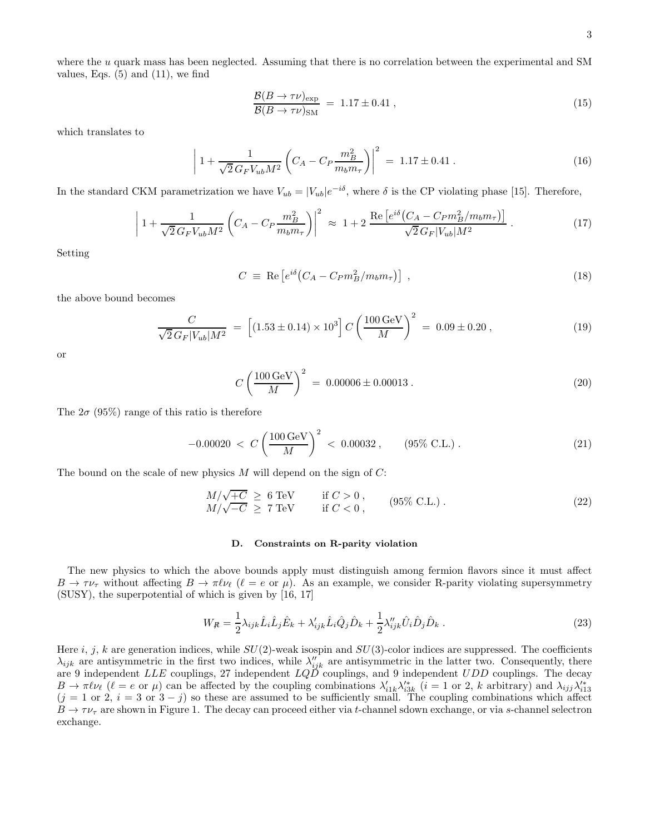where the u quark mass has been neglected. Assuming that there is no correlation between the experimental and SM values, Eqs.  $(5)$  and  $(11)$ , we find

$$
\frac{\mathcal{B}(B \to \tau \nu)_{\text{exp}}}{\mathcal{B}(B \to \tau \nu)_{\text{SM}}} = 1.17 \pm 0.41 , \qquad (15)
$$

which translates to

$$
\left| 1 + \frac{1}{\sqrt{2} \, G_F V_{ub} M^2} \left( C_A - C_P \frac{m_B^2}{m_b m_\tau} \right) \right|^2 = 1.17 \pm 0.41 \,. \tag{16}
$$

In the standard CKM parametrization we have  $V_{ub} = |V_{ub}|e^{-i\delta}$ , where  $\delta$  is the CP violating phase [15]. Therefore,

$$
\left| 1 + \frac{1}{\sqrt{2} \, G_F V_{ub} M^2} \left( C_A - C_P \frac{m_B^2}{m_b m_\tau} \right) \right|^2 \approx 1 + 2 \, \frac{\text{Re} \left[ e^{i\delta} \left( C_A - C_P m_B^2 / m_b m_\tau \right) \right]}{\sqrt{2} \, G_F |V_{ub}| M^2} \,. \tag{17}
$$

Setting

$$
C \equiv \text{Re}\left[e^{i\delta}\left(C_A - C_P m_B^2 / m_b m_\tau\right)\right] \,,\tag{18}
$$

the above bound becomes

$$
\frac{C}{\sqrt{2} \, G_F |V_{ub}| M^2} \ = \ \left[ (1.53 \pm 0.14) \times 10^3 \right] C \left( \frac{100 \, \text{GeV}}{M} \right)^2 \ = \ 0.09 \pm 0.20 \,, \tag{19}
$$

or

$$
C\left(\frac{100\,\text{GeV}}{M}\right)^2 = 0.00006 \pm 0.00013\,. \tag{20}
$$

The  $2\sigma$  (95%) range of this ratio is therefore

$$
-0.00020 < C \left(\frac{100 \,\text{GeV}}{M}\right)^2 < 0.00032 \,, \qquad (95\% \text{ C.L.}) \,. \tag{21}
$$

The bound on the scale of new physics  $M$  will depend on the sign of  $C$ :

$$
M/\sqrt{+C} \geq 6 \text{ TeV} \qquad \text{if } C > 0, M/\sqrt{-C} \geq 7 \text{ TeV} \qquad \text{if } C < 0, (95\% \text{ C.L.}).
$$
\n(22)

#### D. Constraints on R-parity violation

The new physics to which the above bounds apply must distinguish among fermion flavors since it must affect  $B \to \tau \nu_{\tau}$  without affecting  $B \to \pi \ell \nu_{\ell}$  ( $\ell = e$  or  $\mu$ ). As an example, we consider R-parity violating supersymmetry (SUSY), the superpotential of which is given by [16, 17]

$$
W_{\mathcal{R}} = \frac{1}{2} \lambda_{ijk} \hat{L}_i \hat{L}_j \hat{E}_k + \lambda'_{ijk} \hat{L}_i \hat{Q}_j \hat{D}_k + \frac{1}{2} \lambda''_{ijk} \hat{U}_i \hat{D}_j \hat{D}_k . \qquad (23)
$$

Here i, j, k are generation indices, while  $SU(2)$ -weak isospin and  $SU(3)$ -color indices are suppressed. The coefficients  $\lambda_{ijk}$  are antisymmetric in the first two indices, while  $\lambda''_{ijk}$  are antisymmetric in the latter two. Consequently, there are 9 independent LLE couplings, 27 independent  $LQD$  couplings, and 9 independent  $UDD$  couplings. The decay  $B \to \pi \ell \nu_{\ell}$  ( $\ell = e$  or  $\mu$ ) can be affected by the coupling combinations  $\lambda'_{i1k}\lambda'^*_{i3k}$  ( $i = 1$  or 2, k arbitrary) and  $\lambda_{ijj}\lambda'^*_{i13}$  $(j = 1 \text{ or } 2, i = 3 \text{ or } 3 - j)$  so these are assumed to be sufficiently small. The coupling combinations which affect  $B \to \tau \nu_{\tau}$  are shown in Figure 1. The decay can proceed either via t-channel sdown exchange, or via s-channel selectron exchange.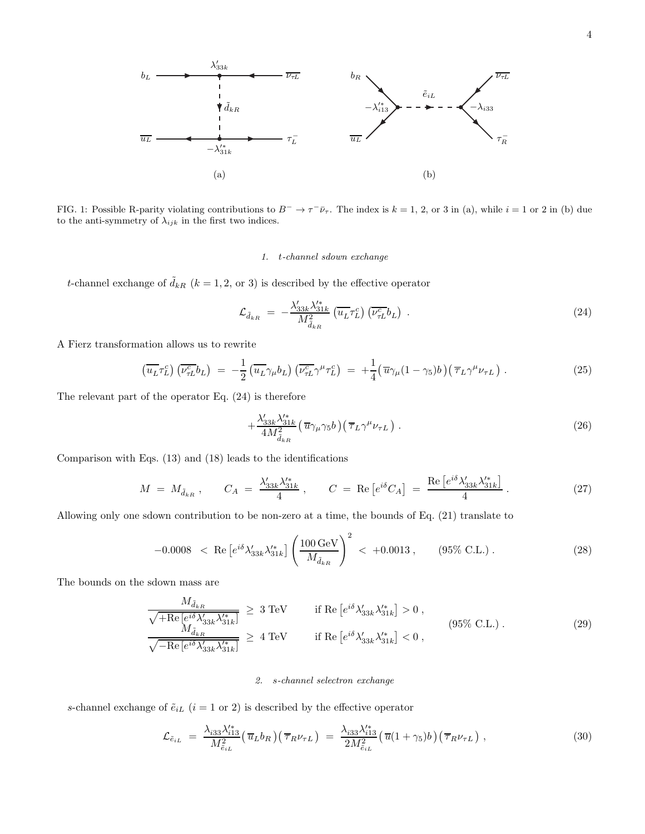

FIG. 1: Possible R-parity violating contributions to  $B^- \to \tau^- \bar{\nu}_{\tau}$ . The index is  $k = 1, 2$ , or 3 in (a), while  $i = 1$  or 2 in (b) due to the anti-symmetry of  $\overset{\circ}{\lambda}_{ijk}$  in the first two indices.

### 1. t-channel sdown exchange

t-channel exchange of  $\tilde{d}_{kR}$  ( $k = 1, 2,$  or 3) is described by the effective operator

$$
\mathcal{L}_{\tilde{d}_{kR}} = -\frac{\lambda'_{33k}\lambda'^*_{31k}}{M_{\tilde{d}_{kR}}^2} \left(\overline{u_L}\tau_L^c\right) \left(\overline{\nu_{\tau L}^c}b_L\right) \,. \tag{24}
$$

A Fierz transformation allows us to rewrite

$$
\left(\overline{u_L}\tau_L^c\right)\left(\overline{\nu_{\tau L}^c}b_L\right) = -\frac{1}{2}\left(\overline{u_L}\gamma_\mu b_L\right)\left(\overline{\nu_{\tau L}^c}\gamma^\mu\tau_L^c\right) = +\frac{1}{4}\left(\overline{u}\gamma_\mu(1-\gamma_5)b\right)\left(\overline{\tau}_L\gamma^\mu\nu_{\tau L}\right). \tag{25}
$$

The relevant part of the operator Eq. (24) is therefore

$$
+\frac{\lambda'_{33k}\lambda'^*_{31k}}{4M^2_{\tilde{d}_{kR}}} \left(\overline{u}\gamma_\mu\gamma_5 b\right) \left(\overline{\tau}_L\gamma^\mu\nu_{\tau L}\right). \tag{26}
$$

Comparison with Eqs. (13) and (18) leads to the identifications

$$
M = M_{\tilde{d}_{kR}} , \qquad C_A = \frac{\lambda'_{33k} \lambda'^*_{31k}}{4} , \qquad C = \text{Re} \left[ e^{i\delta} C_A \right] = \frac{\text{Re} \left[ e^{i\delta} \lambda'_{33k} \lambda'^*_{31k} \right]}{4} . \tag{27}
$$

Allowing only one sdown contribution to be non-zero at a time, the bounds of Eq. (21) translate to

$$
-0.0008 \ < \ \text{Re}\left[e^{i\delta} \lambda'_{33k} \lambda'^*_{31k}\right] \left(\frac{100 \,\text{GeV}}{M_{\tilde{d}_{kR}}}\right)^2 \ < \ +0.0013 \,, \qquad (95\% \,\text{C.L.}) \,. \tag{28}
$$

The bounds on the sdown mass are

$$
\frac{M_{\tilde{d}_{kR}}}{\sqrt{+Re\left[e^{i\delta}\lambda'_{33k}\lambda'^*_{31k}\right]}} \ge 3 \text{ TeV} \qquad \text{if } Re\left[e^{i\delta}\lambda'_{33k}\lambda'^*_{31k}\right] > 0, \n\frac{M_{\tilde{d}_{kR}}}{\sqrt{-Re\left[e^{i\delta}\lambda'_{33k}\lambda'^*_{31k}\right]}} \ge 4 \text{ TeV} \qquad \text{if } Re\left[e^{i\delta}\lambda'_{33k}\lambda'^*_{31k}\right] < 0,
$$
\n(29)

#### 2. s-channel selectron exchange

s-channel exchange of  $\tilde{e}_{iL}$   $(i=1\ {\rm or}\ 2)$  is described by the effective operator

$$
\mathcal{L}_{\tilde{e}_{iL}} = \frac{\lambda_{i33} \lambda_{i13}^{\'\,*}}{M_{\tilde{e}_{iL}}^2} \left(\overline{u}_L b_R\right) \left(\overline{\tau}_R \nu_{\tau L}\right) = \frac{\lambda_{i33} \lambda_{i13}^{\'\,*}}{2M_{\tilde{e}_{iL}}^2} \left(\overline{u}(1+\gamma_5)b\right) \left(\overline{\tau}_R \nu_{\tau L}\right),\tag{30}
$$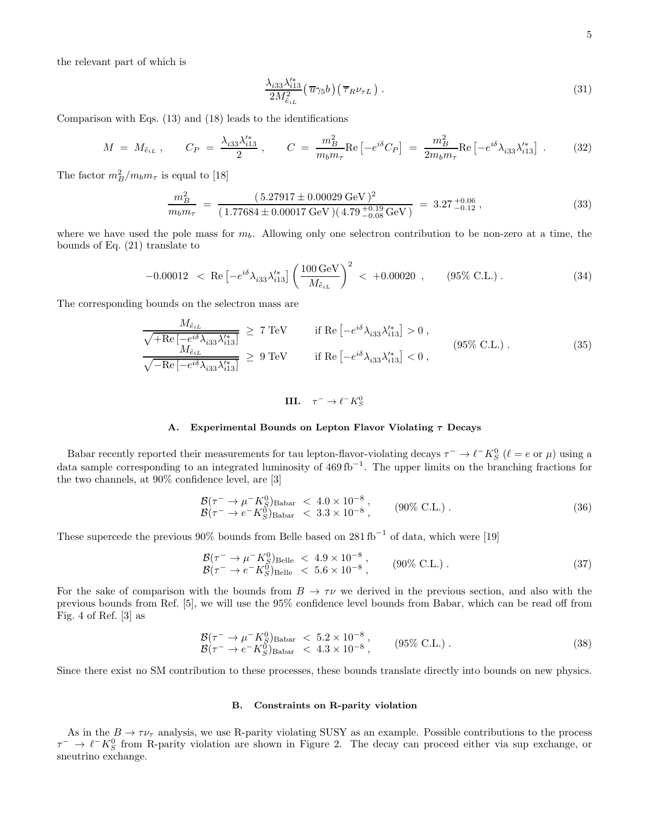the relevant part of which is

$$
\frac{\lambda_{i33}\lambda_{i13}^{\prime*}}{2M_{\tilde{e}_{iL}}^2} \left(\overline{u}\gamma_5 b\right) \left(\overline{\tau}_R \nu_{\tau L}\right). \tag{31}
$$

Comparison with Eqs. (13) and (18) leads to the identifications

$$
M = M_{\tilde{e}_{iL}}, \qquad C_P = \frac{\lambda_{i33} \lambda_{i13}'}{2}, \qquad C = \frac{m_B^2}{m_b m_\tau} \text{Re} \left[ -e^{i\delta} C_P \right] = \frac{m_B^2}{2m_b m_\tau} \text{Re} \left[ -e^{i\delta} \lambda_{i33} \lambda_{i13}^{\prime *} \right] . \tag{32}
$$

The factor  $m_B^2/m_b m_\tau$  is equal to [18]

$$
\frac{m_B^2}{m_b m_\tau} = \frac{(5.27917 \pm 0.00029 \,\text{GeV})^2}{(1.77684 \pm 0.00017 \,\text{GeV})(4.79 \, \frac{+0.19}{-0.08} \,\text{GeV})} = 3.27 \, \frac{+0.06}{-0.12},\tag{33}
$$

where we have used the pole mass for  $m_b$ . Allowing only one selectron contribution to be non-zero at a time, the bounds of Eq. (21) translate to

$$
-0.00012 \, < \, \text{Re}\left[-e^{i\delta}\lambda_{i33}\lambda_{i13}^{\prime*}\right] \left(\frac{100\,\text{GeV}}{M_{\tilde{e}_{iL}}}\right)^2 \, < \, +0.00020 \, , \qquad (95\% \text{ C.L.}) \, . \tag{34}
$$

The corresponding bounds on the selectron mass are

$$
\frac{M_{\tilde{e}_{iL}}}{\sqrt{+Re\left[-e^{i\delta}\lambda_{i33}\lambda_{i13}^{\prime*}\right]}} \ge 7 \text{ TeV} \qquad \text{if } Re\left[-e^{i\delta}\lambda_{i33}\lambda_{i13}^{\prime*}\right] > 0 ,
$$
\n
$$
\frac{M_{\tilde{e}_{iL}}}{\sqrt{-Re\left[-e^{i\delta}\lambda_{i33}\lambda_{i13}^{\prime*}\right]}} \ge 9 \text{ TeV} \qquad \text{if } Re\left[-e^{i\delta}\lambda_{i33}\lambda_{i13}^{\prime*}\right] < 0 ,
$$
\n
$$
(95\% \text{ C.L.}) .
$$
\n
$$
(35)
$$

III. 
$$
\tau^- \to \ell^- K^0_S
$$

## A. Experimental Bounds on Lepton Flavor Violating  $\tau$  Decays

Babar recently reported their measurements for tau lepton-flavor-violating decays  $\tau^- \to \ell^- K^0_S$  ( $\ell = e$  or  $\mu$ ) using a data sample corresponding to an integrated luminosity of  $469 \text{ fb}^{-1}$ . The upper limits on the branching fractions for the two channels, at 90% confidence level, are [3]

$$
\mathcal{B}(\tau^{-} \to \mu^{-} K_{S}^{0})_{\text{Babar}} < 4.0 \times 10^{-8}, \mathcal{B}(\tau^{-} \to e^{-} K_{S}^{0})_{\text{Babar}} < 3.3 \times 10^{-8},
$$
\n(90% C.L.)\n(36)

These supercede the previous 90% bounds from Belle based on  $281 \text{ fb}^{-1}$  of data, which were [19]

$$
\begin{array}{lcl}\n\mathcal{B}(\tau^- \to \mu^- K_S^0)_{\text{Belle}} < 4.9 \times 10^{-8} \,, \\
\mathcal{B}(\tau^- \to e^- K_S^0)_{\text{Belle}} < 5.6 \times 10^{-8} \,, \n\end{array} \tag{90\% C.L.)}\n\tag{37}
$$

For the sake of comparison with the bounds from  $B \to \tau \nu$  we derived in the previous section, and also with the previous bounds from Ref. [5], we will use the 95% confidence level bounds from Babar, which can be read off from Fig. 4 of Ref. [3] as

$$
\mathcal{B}(\tau^{-} \to \mu^{-} K_{S}^{0})_{\text{Babar}} < 5.2 \times 10^{-8}, \mathcal{B}(\tau^{-} \to e^{-} K_{S}^{0})_{\text{Babar}} < 4.3 \times 10^{-8},
$$
\n(95% C.L.) .\n(38)

Since there exist no SM contribution to these processes, these bounds translate directly into bounds on new physics.

#### B. Constraints on R-parity violation

As in the  $B \to \tau \nu_{\tau}$  analysis, we use R-parity violating SUSY as an example. Possible contributions to the process  $\tau^{-} \to \ell^{-} K_S^0$  from R-parity violation are shown in Figure 2. The decay can proceed either via sup exchange, or sneutrino exchange.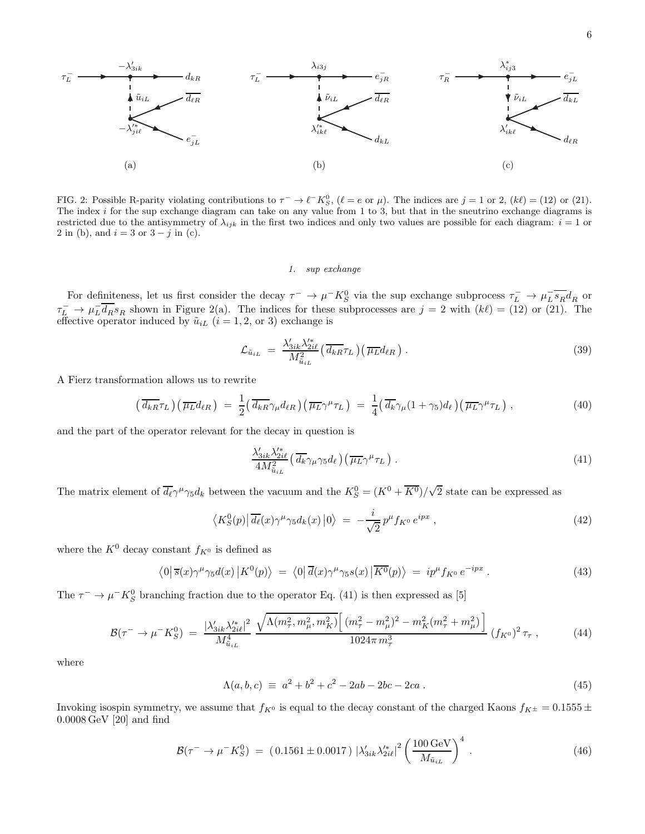

FIG. 2: Possible R-parity violating contributions to  $\tau^- \to \ell^- K^0_S$ ,  $(\ell = e \text{ or } \mu)$ . The indices are  $j = 1$  or  $(2, k\ell) = (12)$  or  $(21)$ . The index i for the sup exchange diagram can take on any value from 1 to 3, but that in the sneutrino exchange diagrams is restricted due to the antisymmetry of  $\lambda_{ijk}$  in the first two indices and only two values are possible for each diagram:  $i = 1$  or 2 in (b), and  $i = 3$  or  $3 - j$  in (c).

#### 1. sup exchange

For definiteness, let us first consider the decay  $\tau^- \to \mu^- K^0_S$  via the sup exchange subprocess  $\tau^-_L \to \mu^-_L \overline{s_R} d_R$  or  $\tau_L^- \to \mu_L^- \overline{d_R} s_R$  shown in Figure 2(a). The indices for these subprocesses are  $j = 2$  with  $(k\ell) = (12)$  or (21). The effective operator induced by  $\tilde{u}_{iL}$   $(i = 1, 2, \text{ or } 3)$  exchange is

$$
\mathcal{L}_{\tilde{u}_{iL}} = \frac{\lambda'_{3ik}\lambda'^*_{2i\ell}}{M^2_{\tilde{u}_{iL}}} \left(\overline{d_{kR}}\tau_L\right) \left(\overline{\mu_L}d_{\ell R}\right). \tag{39}
$$

A Fierz transformation allows us to rewrite

$$
\left(\overline{d_{kR}}\tau_L\right)\left(\overline{\mu_L}d_{\ell R}\right) \ = \ \frac{1}{2}\left(\overline{d_{kR}}\gamma_\mu d_{\ell R}\right)\left(\overline{\mu_L}\gamma^\mu\tau_L\right) \ = \ \frac{1}{4}\left(\overline{d_k}\gamma_\mu(1+\gamma_5)d_\ell\right)\left(\overline{\mu_L}\gamma^\mu\tau_L\right) \,,\tag{40}
$$

and the part of the operator relevant for the decay in question is

$$
\frac{\lambda'_{3ik}\lambda'^*_{2i\ell}}{4M^2_{\tilde{u}_{iL}}} \left(\overline{d_k}\gamma_\mu\gamma_5 d_\ell\right) \left(\overline{\mu_L}\gamma^\mu\tau_L\right) \,. \tag{41}
$$

The matrix element of  $\overline{d_{\ell}} \gamma^{\mu} \gamma_5 d_k$  between the vacuum and the  $K_S^0 = (K^0 + \overline{K^0})/\sqrt{2}$  state can be expressed as

$$
\langle K_S^0(p) | \overline{d_{\ell}}(x) \gamma^{\mu} \gamma_5 d_{k}(x) | 0 \rangle = -\frac{i}{\sqrt{2}} p^{\mu} f_{K^0} e^{ipx} , \qquad (42)
$$

where the  $K^0$  decay constant  $f_{K^0}$  is defined as

$$
\langle 0|\,\overline{s}(x)\gamma^{\mu}\gamma_{5}d(x)\,|K^{0}(p)\rangle\ =\ \langle 0|\,\overline{d}(x)\gamma^{\mu}\gamma_{5}s(x)\,|\overline{K^{0}}(p)\rangle\ =\ ip^{\mu}f_{K^{0}}\,e^{-ipx}\,. \tag{43}
$$

The  $\tau^- \to \mu^- K^0_S$  branching fraction due to the operator Eq. (41) is then expressed as [5]

$$
\mathcal{B}(\tau^{-} \to \mu^{-} K_S^0) = \frac{|\lambda'_{3ik}\lambda'^*_{2i\ell}|^2}{M_{\tilde{u}_{iL}}^4} \frac{\sqrt{\Lambda(m_\tau^2, m_\mu^2, m_K^2)} \left[ (m_\tau^2 - m_\mu^2)^2 - m_K^2(m_\tau^2 + m_\mu^2) \right]}{1024\pi m_\tau^3} (f_{K^0})^2 \tau_\tau , \tag{44}
$$

where

$$
\Lambda(a, b, c) \equiv a^2 + b^2 + c^2 - 2ab - 2bc - 2ca \tag{45}
$$

Invoking isospin symmetry, we assume that  $f_{K^0}$  is equal to the decay constant of the charged Kaons  $f_{K^{\pm}} = 0.1555 \pm 0.1555$ 0.0008 GeV [20] and find

$$
\mathcal{B}(\tau^- \to \mu^- K_S^0) = (0.1561 \pm 0.0017) |\lambda'_{3ik} \lambda'^*_{2i\ell}|^2 \left(\frac{100 \,\text{GeV}}{M_{\tilde{u}_{iL}}}\right)^4. \tag{46}
$$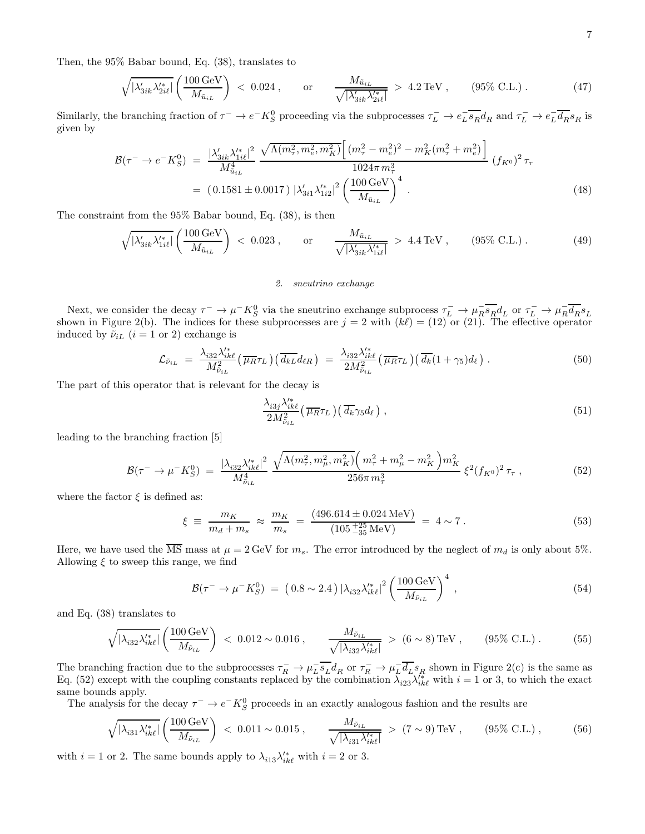Then, the 95% Babar bound, Eq. (38), translates to

$$
\sqrt{|\lambda'_{3ik}\lambda'^*_{2il}|} \left(\frac{100\,\text{GeV}}{M_{\tilde{u}_{iL}}}\right) \, < \, 0.024 \,, \qquad \text{or} \qquad \frac{M_{\tilde{u}_{iL}}}{\sqrt{|\lambda'_{3ik}\lambda'^*_{2il}|}} \, > \, 4.2\,\text{TeV} \,, \qquad (95\% \,\text{C.L.}) \,. \tag{47}
$$

Similarly, the branching fraction of  $\tau^- \to e^- K_S^0$  proceeding via the subprocesses  $\tau_L^- \to e^-_L \overline{s_R} d_R$  and  $\tau_L^- \to e^-_L \overline{d_R} s_R$  is given by

$$
\mathcal{B}(\tau^{-} \to e^{-} K_{S}^{0}) = \frac{|\lambda'_{3ik}\lambda'^*_{1i\ell}|^2}{M_{\tilde{u}_{iL}}^4} \frac{\sqrt{\Lambda(m_{\tau}^2, m_{e}^2, m_{K}^2)} \Big[ (m_{\tau}^2 - m_{e}^2)^2 - m_{K}^2 (m_{\tau}^2 + m_{e}^2) \Big]}{1024\pi m_{\tau}^3} (f_{K^0})^2 \tau_{\tau}
$$
  
= (0.1581 ± 0.0017)  $|\lambda'_{3i1}\lambda'^*_{1i2}|^2 \left(\frac{100 \text{ GeV}}{M_{\tilde{u}_{iL}}}\right)^4$ . (48)

The constraint from the 95% Babar bound, Eq. (38), is then

$$
\sqrt{|\lambda'_{3ik}\lambda'^*_{1i\ell}|} \left(\frac{100\,\text{GeV}}{M_{\tilde{u}_{iL}}}\right) < 0.023\,, \qquad \text{or} \qquad \frac{M_{\tilde{u}_{iL}}}{\sqrt{|\lambda'_{3ik}\lambda'^*_{1i\ell}|}} > 4.4\,\text{TeV}\,, \qquad (95\%\,\text{C.L.})\,. \tag{49}
$$

# 2. sneutrino exchange

Next, we consider the decay  $\tau^- \to \mu^- K_S^0$  via the sneutrino exchange subprocess  $\tau^-_L \to \mu^-_R \overline{s_R} d_L$  or  $\tau^-_L \to \mu^-_R \overline{d_R} s_L$ shown in Figure 2(b). The indices for these subprocesses are  $j = 2$  with  $(k\ell) = (12)$  or  $(21)$ . The effective operator induced by  $\tilde{\nu}_{iL}$  ( $i = 1$  or 2) exchange is

$$
\mathcal{L}_{\tilde{\nu}_{iL}} = \frac{\lambda_{i32} \lambda_{ik\ell}^{\prime*}}{M_{\tilde{\nu}_{iL}}^2} \left(\overline{\mu_R} \tau_L\right) \left(\overline{d_{kL}} d_{\ell R}\right) = \frac{\lambda_{i32} \lambda_{ik\ell}^{\prime*}}{2M_{\tilde{\nu}_{iL}}^2} \left(\overline{\mu_R} \tau_L\right) \left(\overline{d_k} (1 + \gamma_5) d_{\ell}\right).
$$
(50)

The part of this operator that is relevant for the decay is

$$
\frac{\lambda_{i3j}\lambda_{ik\ell}^{\prime*}}{2M_{\tilde{\nu}_{iL}}^2} \left(\overline{\mu_R}\tau_L\right) \left(\overline{d_k}\gamma_5 d_\ell\right) ,\qquad (51)
$$

leading to the branching fraction [5]

$$
\mathcal{B}(\tau^{-} \to \mu^{-} K_S^0) = \frac{|\lambda_{i32} \lambda_{ik\ell}^{\prime*}|^2}{M_{\tilde{\nu}_{iL}}^4} \frac{\sqrt{\Lambda(m_\tau^2, m_\mu^2, m_K^2)} \left(m_\tau^2 + m_\mu^2 - m_K^2\right) m_K^2}{256 \pi m_\tau^3} \xi^2 (f_{K^0})^2 \tau_\tau , \qquad (52)
$$

where the factor  $\xi$  is defined as:

$$
\xi \equiv \frac{m_K}{m_d + m_s} \approx \frac{m_K}{m_s} = \frac{(496.614 \pm 0.024 \,\text{MeV})}{(105 \, \frac{+25}{-35} \,\text{MeV})} = 4 \sim 7 \,. \tag{53}
$$

Here, we have used the  $\overline{\text{MS}}$  mass at  $\mu = 2 \text{ GeV}$  for  $m_s$ . The error introduced by the neglect of  $m_d$  is only about 5%. Allowing  $\xi$  to sweep this range, we find

$$
\mathcal{B}(\tau^{-} \to \mu^{-} K_S^0) = (0.8 \sim 2.4) |\lambda_{i32} \lambda_{ik\ell}'|^2 \left(\frac{100 \,\text{GeV}}{M_{\tilde{\nu}_{iL}}}\right)^4 ,\tag{54}
$$

and Eq. (38) translates to

$$
\sqrt{|\lambda_{i32}\lambda_{ik\ell}^{'}|} \left(\frac{100\,\text{GeV}}{M_{\tilde{\nu}_{iL}}}\right) < 0.012 \sim 0.016 \,, \qquad \frac{M_{\tilde{\nu}_{iL}}}{\sqrt{|\lambda_{i32}\lambda_{ik\ell}^{'}|}} > (6 \sim 8)\,\text{TeV} \,, \qquad (95\% \text{ C.L.}) \,. \tag{55}
$$

The branching fraction due to the subprocesses  $\tau_R^- \to \mu_L^- \overline{s_L} d_R$  or  $\tau_R^- \to \mu_L^- \overline{d_L} s_R$  shown in Figure 2(c) is the same as Eq. (52) except with the coupling constants replaced by the combination  $\lambda_{i23}\lambda_{ik\ell}^{i*}$  with  $i=1$  or 3, to which the exact same bounds apply.

The analysis for the decay  $\tau^- \to e^- K^0_S$  proceeds in an exactly analogous fashion and the results are

$$
\sqrt{|\lambda_{i31}\lambda_{ik\ell}^{*}|} \left(\frac{100\,\text{GeV}}{M_{\tilde{\nu}_{iL}}}\right) < 0.011 \sim 0.015 \,, \qquad \frac{M_{\tilde{\nu}_{iL}}}{\sqrt{|\lambda_{i31}\lambda_{ik\ell}^{*}|}} > (7 \sim 9)\,\text{TeV} \,, \qquad (95\%\,\text{C.L.}) \,, \tag{56}
$$

with  $i = 1$  or 2. The same bounds apply to  $\lambda_{i13} \lambda_{ik\ell}^*$  with  $i = 2$  or 3.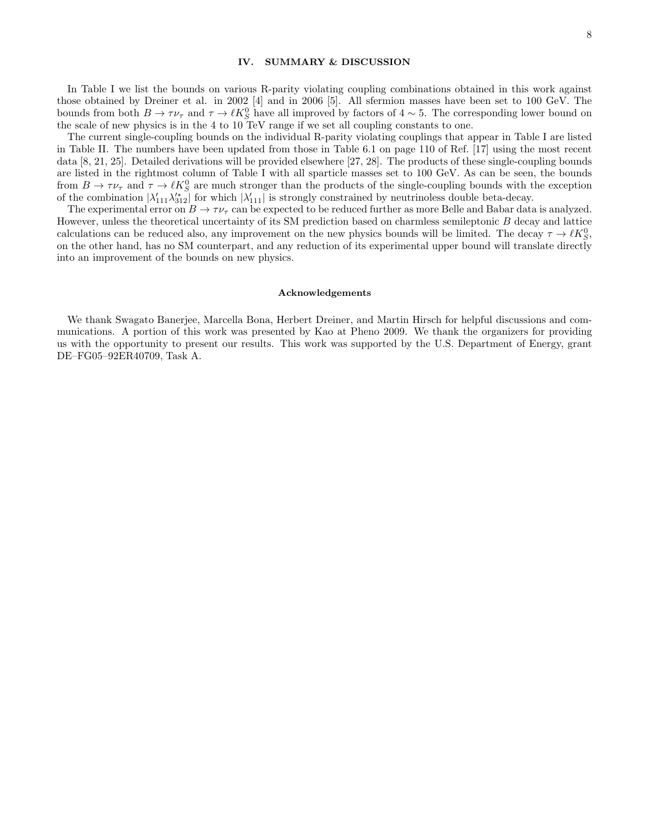# IV. SUMMARY & DISCUSSION

In Table I we list the bounds on various R-parity violating coupling combinations obtained in this work against those obtained by Dreiner et al. in 2002 [4] and in 2006 [5]. All sfermion masses have been set to 100 GeV. The bounds from both  $B \to \tau \nu_{\tau}$  and  $\tau \to \ell K_S^0$  have all improved by factors of  $4 \sim 5$ . The corresponding lower bound on the scale of new physics is in the 4 to 10 TeV range if we set all coupling constants to one.

The current single-coupling bounds on the individual R-parity violating couplings that appear in Table I are listed in Table II. The numbers have been updated from those in Table 6.1 on page 110 of Ref. [17] using the most recent data [8, 21, 25]. Detailed derivations will be provided elsewhere [27, 28]. The products of these single-coupling bounds are listed in the rightmost column of Table I with all sparticle masses set to 100 GeV. As can be seen, the bounds from  $B \to \tau \nu_{\tau}$  and  $\tau \to \ell K_S^0$  are much stronger than the products of the single-coupling bounds with the exception of the combination  $|\lambda'_{111}\lambda'^*_{312}|$  for which  $|\lambda'_{111}|$  is strongly constrained by neutrinoless double beta-decay.

The experimental error on  $B \to \tau \nu_{\tau}$  can be expected to be reduced further as more Belle and Babar data is analyzed. However, unless the theoretical uncertainty of its SM prediction based on charmless semileptonic B decay and lattice calculations can be reduced also, any improvement on the new physics bounds will be limited. The decay  $\tau \to \ell K_S^0$ , on the other hand, has no SM counterpart, and any reduction of its experimental upper bound will translate directly into an improvement of the bounds on new physics.

#### Acknowledgements

We thank Swagato Banerjee, Marcella Bona, Herbert Dreiner, and Martin Hirsch for helpful discussions and communications. A portion of this work was presented by Kao at Pheno 2009. We thank the organizers for providing us with the opportunity to present our results. This work was supported by the U.S. Department of Energy, grant DE–FG05–92ER40709, Task A.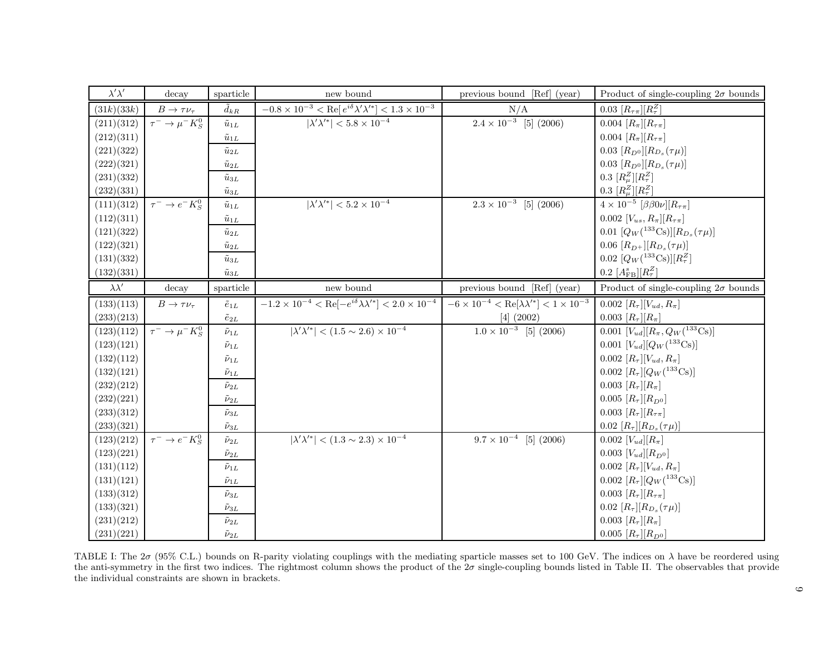| $\lambda'\lambda'$ | decay                    | sparticle          | new bound                                                                             | previous bound [Ref] (year)                                                   | Product of single-coupling $2\sigma$ bounds                            |
|--------------------|--------------------------|--------------------|---------------------------------------------------------------------------------------|-------------------------------------------------------------------------------|------------------------------------------------------------------------|
| (31k)(33k)         | $B\to\tau\nu_\tau$       | $\tilde{d}_{kR}$   | $-0.8 \times 10^{-3} < \text{Re}[e^{i\delta}\lambda'\lambda'^*] < 1.3 \times 10^{-3}$ | N/A                                                                           | $0.03\;[R_{\tau\pi}][R_{\tau}^Z]$                                      |
| (211)(312)         | $\tau^- \to \mu^- K^0_S$ | $\tilde{u}_{1L}$   | $ \lambda'\lambda'^{*}  < 5.8 \times 10^{-4}$                                         | $\overline{2.4} \times 10^{-3}$ [5] (2006)                                    | 0.004 $[R_{\pi}][R_{\tau\pi}]$                                         |
| (212)(311)         |                          | $\tilde{u}_{1L}$   |                                                                                       |                                                                               | 0.004 $[R_{\pi}][R_{\tau\pi}]$                                         |
| (221)(322)         |                          | $\tilde{u}_{2L}$   |                                                                                       |                                                                               | 0.03 $[R_{D^0}]$ $[R_{D_s}(\tau \mu)]$                                 |
| (222)(321)         |                          | $\tilde{u}_{2L}$   |                                                                                       |                                                                               | 0.03 $[R_{D^0}][R_{D_s}(\tau \mu)]$                                    |
| (231)(332)         |                          | $\tilde{u}_{3L}$   |                                                                                       |                                                                               | 0.3 $[R_\mu^Z][R_\tau^Z]$                                              |
| (232)(331)         |                          | $\tilde{u}_{3L}$   |                                                                                       |                                                                               | 0.3 $[R_\mu^Z][R_\tau^Z]$                                              |
| (111)(312)         | $\tau^- \to e^- K^0_S$   | $\tilde{u}_{1L}$   | $ \lambda'\lambda'^{*}  < 5.2 \times 10^{-4}$                                         | $2.3 \times 10^{-3}$ [5] (2006)                                               | $4\times10^{-5}$ $\left[\beta\beta0\nu\right]\left[R_{\tau\pi}\right]$ |
| (112)(311)         |                          | $\tilde{u}_{1L}$   |                                                                                       |                                                                               | 0.002 $[V_{us}, R_{\pi}][R_{\tau\pi}]$                                 |
| (121)(322)         |                          | $\tilde{u}_{2L}$   |                                                                                       |                                                                               | 0.01 $[Q_W(^{133}\text{Cs})][R_{D_s}(\tau\mu)]$                        |
| (122)(321)         |                          | $\tilde{u}_{2L}$   |                                                                                       |                                                                               | 0.06 $[R_{D^+}]$ $[R_{D_s}(\tau \mu)]$                                 |
| (131)(332)         |                          | $\tilde{u}_{3L}$   |                                                                                       |                                                                               | 0.02 $[Q_W(^{133}\text{Cs})][R^Z_\tau]$                                |
| (132)(331)         |                          | $\tilde{u}_{3L}$   |                                                                                       |                                                                               | 0.2 $[A_{\text{FB}}^{s}][R_{\tau}^{Z}]$                                |
| $\lambda \lambda'$ | decay                    | sparticle          | new bound                                                                             | previous bound [Ref] (year)                                                   | Product of single-coupling $2\sigma$ bounds                            |
| (133)(113)         | $B\to\tau\nu_\tau$       | $\tilde e_{1L}$    | $-1.2 \times 10^{-4} < \text{Re}[-e^{i\delta}\lambda\lambda'^*] < 2.0 \times 10^{-4}$ | $-6 \times 10^{-4} < \text{Re}[\lambda \lambda^{\prime*}] < 1 \times 10^{-3}$ | 0.002 $[R_{\tau}][V_{ud}, R_{\pi}]$                                    |
| (233)(213)         |                          | $\tilde{e}_{2L}$   |                                                                                       | $[4]$ (2002)                                                                  | 0.003 $[R_{\tau}][R_{\pi}]$                                            |
| (123)(112)         | $\tau^- \to \mu^- K^0_S$ | $\tilde{\nu}_{1L}$ | $ \lambda'\lambda'^{*}  < (1.5 \sim 2.6) \times 10^{-4}$                              | $\overline{1.0 \times 10^{-3}}$ [5] (2006)                                    | 0.001 $[V_{ud}][R_{\pi}, Q_W(^{133}\text{Cs})]$                        |
| (123)(121)         |                          | $\tilde\nu_{1L}$   |                                                                                       |                                                                               | 0.001 $[V_{ud}][Q_W(^{133}\text{Cs})]$                                 |
| (132)(112)         |                          | $\tilde{\nu}_{1L}$ |                                                                                       |                                                                               | $0.002 [R_{\tau}][V_{ud}, R_{\pi}]$                                    |
| (132)(121)         |                          | $\tilde{\nu}_{1L}$ |                                                                                       |                                                                               | 0.002 $[R_\tau][Q_W(^{133}\text{Cs})]$                                 |
| (232)(212)         |                          | $\tilde{\nu}_{2L}$ |                                                                                       |                                                                               | $0.003$ $[R_{\tau}][R_{\pi}]$                                          |
| (232)(221)         |                          | $\tilde{\nu}_{2L}$ |                                                                                       |                                                                               | 0.005 $[R_{\tau}][R_{D^0}]$                                            |
| (233)(312)         |                          | $\tilde{\nu}_{3L}$ |                                                                                       |                                                                               | 0.003 $[R_{\tau}][R_{\tau\pi}]$                                        |
| (233)(321)         |                          | $\tilde{\nu}_{3L}$ |                                                                                       |                                                                               | 0.02 $[R_{\tau}][R_{D_s}(\tau\mu)]$                                    |
| (123)(212)         | $\tau^- \to e^- K^0_S$   | $\tilde{\nu}_{2L}$ | $ \lambda'\lambda'^{*}  < (1.3 \sim 2.3) \times 10^{-4}$                              | $9.7 \times 10^{-4}$ [5] (2006)                                               | $0.002$ $[V_{ud}][R_{\pi}]$                                            |
| (123)(221)         |                          | $\tilde{\nu}_{2L}$ |                                                                                       |                                                                               | 0.003 $[V_{ud}][R_{D^0}]$                                              |
| (131)(112)         |                          | $\tilde{\nu}_{1L}$ |                                                                                       |                                                                               | 0.002 $[R_{\tau}][V_{ud}, R_{\pi}]$                                    |
| (131)(121)         |                          | $\tilde{\nu}_{1L}$ |                                                                                       |                                                                               | 0.002 $[R_{\tau}][Q_W(^{133}\text{Cs})]$                               |
| (133)(312)         |                          | $\tilde{\nu}_{3L}$ |                                                                                       |                                                                               | $0.003$ $[R_{\tau}][R_{\tau\pi}]$                                      |
| (133)(321)         |                          | $\tilde{\nu}_{3L}$ |                                                                                       |                                                                               | 0.02 $[R_{\tau}][R_{D_s}(\tau\mu)]$                                    |
| (231)(212)         |                          | $\tilde{\nu}_{2L}$ |                                                                                       |                                                                               | $0.003$ $[R_{\tau}][R_{\pi}]$                                          |
| (231)(221)         |                          | $\tilde{\nu}_{2L}$ |                                                                                       |                                                                               | $0.005[R_{\tau}][R_{D^0}]$                                             |

TABLE I: The  $2\sigma$  (95% C.L.) bounds on R-parity violating couplings with the mediating sparticle masses set to 100 GeV. The indices on  $\lambda$  have be reordered using the anti-symmetry in the first two indices. The rightmost column shows the product of the  $2\sigma$  single-coupling bounds listed in Table II. The observables that provide the individual constraints are shown in brackets.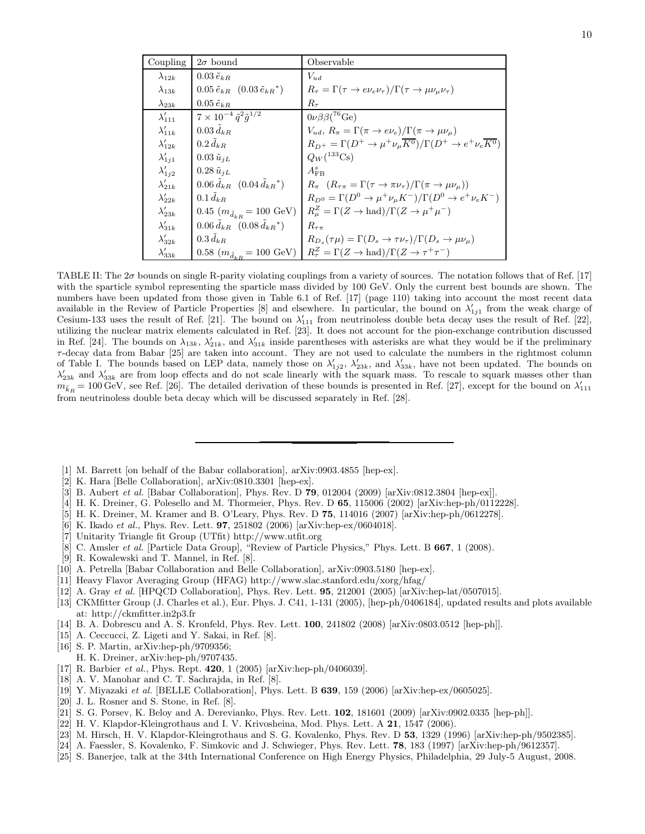| Coupling         | $2\sigma$ bound                                       | Observable                                                                                                             |
|------------------|-------------------------------------------------------|------------------------------------------------------------------------------------------------------------------------|
| $\lambda_{12k}$  | $0.03\,\tilde{e}_{kR}$                                | $V_{ud}$                                                                                                               |
| $\lambda_{13k}$  | $0.05 \tilde{e}_{kR}$ $(0.03 \tilde{e}_{kR}^*)$       | $R_{\tau} = \Gamma(\tau \to e \nu_e \nu_{\tau}) / \Gamma(\tau \to \mu \nu_{\mu} \nu_{\tau})$                           |
| $\lambda_{23k}$  | $0.05\,\tilde{e}_{kR}$                                | $R_{\tau}$                                                                                                             |
| $\lambda'_{111}$ | $7\times10^{-4}\,\tilde{q}^2\tilde{q}^{1/2}$          | $0\nu\beta\beta$ ( <sup>76</sup> Ge)                                                                                   |
| $\lambda'_{11k}$ | $0.03\,\tilde{d}_{kR}$                                | $V_{ud}, R_{\pi} = \Gamma(\pi \to e \nu_e)/\Gamma(\pi \to \mu \nu_{\mu})$                                              |
| $\lambda'_{12k}$ | $0.2 d_{kR}$                                          | $R_{D^+} = \Gamma(D^+ \to \mu^+ \nu_\mu \overline{K^0}) / \Gamma(D^+ \to e^+ \nu_e \overline{K^0})$                    |
| $\lambda'_{1j1}$ | $0.03 \tilde{u}_{jL}$                                 | $Q_W({}^{133}Cs)$                                                                                                      |
| $\lambda'_{1j2}$ | $0.28 \tilde{u}_{jL}$                                 | $A_{\rm FB}^s$                                                                                                         |
| $\lambda'_{21k}$ | $0.06 d_{kR}$ $(0.04 d_{kR}^*)$                       | $R_{\pi}$ $(R_{\tau\pi} = \Gamma(\tau \to \pi\nu_{\tau})/\Gamma(\pi \to \mu\nu_{\mu}))$                                |
| $\lambda'_{22k}$ | $0.1 d_{kR}$                                          | $R_{D^0} = \Gamma(D^0 \to \mu^+ \nu_\mu K^-)/\Gamma(D^0 \to e^+ \nu_e K^-)$                                            |
| $\lambda'_{23k}$ | 0.45 $(m_{\tilde{d}_{kR}} = 100 \text{ GeV})$         | $R_u^Z = \Gamma(Z \to \text{had})/\Gamma(Z \to \mu^+ \mu^-)$                                                           |
| $\lambda'_{31k}$ | $0.06 \, \tilde{d}_{kR}$ $(0.08 \, \tilde{d}_{kR}^*)$ | $R_{\tau\pi}$                                                                                                          |
| $\lambda'_{32k}$ | $0.3 d_{kR}$                                          | $R_{D_s}(\tau \mu) = \Gamma(D_s \to \tau \nu_\tau)/\Gamma(D_s \to \mu \nu_\mu)$                                        |
| $\lambda'_{33k}$ |                                                       | 0.58 $(m_{\tilde{d}_{kR}} = 100 \text{ GeV})$ $R_{\tau}^{Z} = \Gamma(Z \to \text{had})/\Gamma(Z \to \tau^{+}\tau^{-})$ |

TABLE II: The 2σ bounds on single R-parity violating couplings from a variety of sources. The notation follows that of Ref. [17] with the sparticle symbol representing the sparticle mass divided by 100 GeV. Only the current best bounds are shown. The numbers have been updated from those given in Table 6.1 of Ref. [17] (page 110) taking into account the most recent data available in the Review of Particle Properties [8] and elsewhere. In particular, the bound on  $\lambda'_{1j1}$  from the weak charge of Cesium-133 uses the result of Ref. [21]. The bound on  $\lambda'_{111}$  from neutrinoless double beta decay uses the result of Ref. [22], utilizing the nuclear matrix elements calculated in Ref. [23]. It does not account for the pion-exchange contribution discussed in Ref. [24]. The bounds on  $\lambda_{13k}$ ,  $\lambda'_{21k}$ , and  $\lambda'_{31k}$  inside parentheses with asterisks are what they would be if the preliminary  $\tau$ -decay data from Babar [25] are taken into account. They are not used to calculate the numbers in the rightmost column of Table I. The bounds based on LEP data, namely those on  $\lambda'_{1j2}$ ,  $\lambda'_{23k}$ , and  $\lambda'_{33k}$ , have not been updated. The bounds on  $\lambda'_{23k}$  and  $\lambda'_{33k}$  are from loop effects and do not scale linearly with the squark mass. To rescale to squark masses other than  $m_{\tilde{k}_R} = 100 \,\text{GeV}$ , see Ref. [26]. The detailed derivation of these bounds is presented in Ref. [27], except for the bound on  $\lambda'_{111}$ from neutrinoless double beta decay which will be discussed separately in Ref. [28].

- [1] M. Barrett [on behalf of the Babar collaboration], arXiv:0903.4855 [hep-ex].
- [2] K. Hara [Belle Collaboration], arXiv:0810.3301 [hep-ex].
- [3] B. Aubert *et al.* [Babar Collaboration], Phys. Rev. D **79**, 012004 (2009) [arXiv:0812.3804 [hep-ex]].
- [4] H. K. Dreiner, G. Polesello and M. Thormeier, Phys. Rev. D 65, 115006 (2002) [arXiv:hep-ph/0112228].
- [5] H. K. Dreiner, M. Kramer and B. O'Leary, Phys. Rev. D 75, 114016 (2007) [arXiv:hep-ph/0612278].
- [6] K. Ikado et al., Phys. Rev. Lett. **97**, 251802 (2006) [arXiv:hep-ex/0604018].
- [7] Unitarity Triangle fit Group (UTfit) http://www.utfit.org
- [8] C. Amsler *et al.* [Particle Data Group], "Review of Particle Physics," Phys. Lett. B 667, 1 (2008).
- [9] R. Kowalewski and T. Mannel, in Ref. [8].
- [10] A. Petrella [Babar Collaboration and Belle Collaboration], arXiv:0903.5180 [hep-ex].
- [11] Heavy Flavor Averaging Group (HFAG) http://www.slac.stanford.edu/xorg/hfag/
- [12] A. Gray et al. [HPQCD Collaboration], Phys. Rev. Lett. 95, 212001 (2005) [arXiv:hep-lat/0507015].
- [13] CKMfitter Group (J. Charles et al.), Eur. Phys. J. C41, 1-131 (2005), [hep-ph/0406184], updated results and plots available at: http://ckmfitter.in2p3.fr
- [14] B. A. Dobrescu and A. S. Kronfeld, Phys. Rev. Lett. 100, 241802 (2008) [arXiv:0803.0512 [hep-ph]].
- [15] A. Ceccucci, Z. Ligeti and Y. Sakai, in Ref. [8].
- [16] S. P. Martin, arXiv:hep-ph/9709356; H. K. Dreiner, arXiv:hep-ph/9707435.
- [17] R. Barbier *et al.*, Phys. Rept. **420**, 1 (2005) [arXiv:hep-ph/0406039].
- [18] A. V. Manohar and C. T. Sachrajda, in Ref. [8].
- [19] Y. Miyazaki et al. [BELLE Collaboration], Phys. Lett. B 639, 159 (2006) [arXiv:hep-ex/0605025].
- [20] J. L. Rosner and S. Stone, in Ref. [8].
- [21] S. G. Porsev, K. Beloy and A. Derevianko, Phys. Rev. Lett. 102, 181601 (2009) [arXiv:0902.0335 [hep-ph]].
- [22] H. V. Klapdor-Kleingrothaus and I. V. Krivosheina, Mod. Phys. Lett. A 21, 1547 (2006).
- [23] M. Hirsch, H. V. Klapdor-Kleingrothaus and S. G. Kovalenko, Phys. Rev. D 53, 1329 (1996) [arXiv:hep-ph/9502385].
- [24] A. Faessler, S. Kovalenko, F. Simkovic and J. Schwieger, Phys. Rev. Lett. 78, 183 (1997) [arXiv:hep-ph/9612357].
- [25] S. Banerjee, talk at the 34th International Conference on High Energy Physics, Philadelphia, 29 July-5 August, 2008.